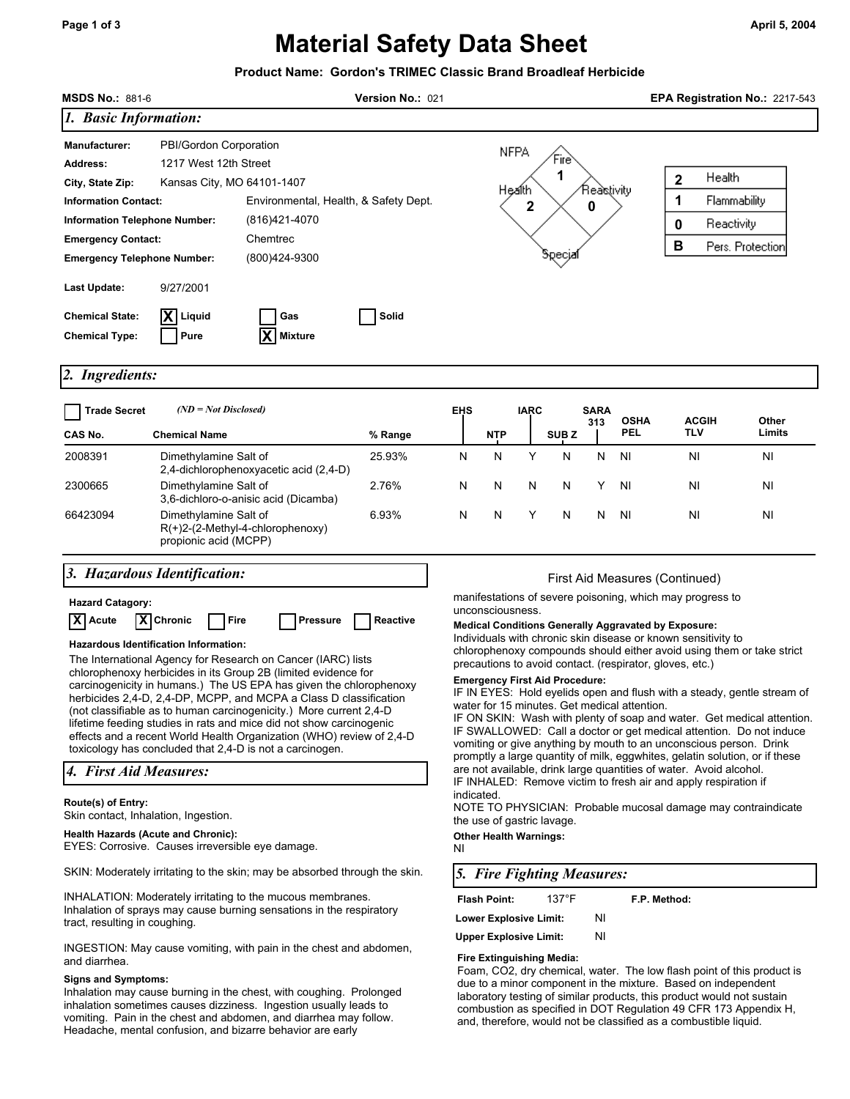# **Material Safety Data Sheet**

|                                                                                                                                                                                                                                                                                                                                                                                                                                                                                                                                                                                                                                                                                        |                                                | Product Name: Gordon's TRIMEC Classic Brand Broadleaf Herbicide                |                                                                      |            |                                                                                                                                                                                                                                                                                                                                                                                                                                                                                                                                                                                                                                                                                                                                                                                                                              |             |                  |             |                                                                                        |                                                                    |                 |  |
|----------------------------------------------------------------------------------------------------------------------------------------------------------------------------------------------------------------------------------------------------------------------------------------------------------------------------------------------------------------------------------------------------------------------------------------------------------------------------------------------------------------------------------------------------------------------------------------------------------------------------------------------------------------------------------------|------------------------------------------------|--------------------------------------------------------------------------------|----------------------------------------------------------------------|------------|------------------------------------------------------------------------------------------------------------------------------------------------------------------------------------------------------------------------------------------------------------------------------------------------------------------------------------------------------------------------------------------------------------------------------------------------------------------------------------------------------------------------------------------------------------------------------------------------------------------------------------------------------------------------------------------------------------------------------------------------------------------------------------------------------------------------------|-------------|------------------|-------------|----------------------------------------------------------------------------------------|--------------------------------------------------------------------|-----------------|--|
| <b>MSDS No.: 881-6</b><br>Version No.: 021                                                                                                                                                                                                                                                                                                                                                                                                                                                                                                                                                                                                                                             |                                                |                                                                                |                                                                      |            | EPA Registration No.: 2217-543                                                                                                                                                                                                                                                                                                                                                                                                                                                                                                                                                                                                                                                                                                                                                                                               |             |                  |             |                                                                                        |                                                                    |                 |  |
| 1. Basic Information:                                                                                                                                                                                                                                                                                                                                                                                                                                                                                                                                                                                                                                                                  |                                                |                                                                                |                                                                      |            |                                                                                                                                                                                                                                                                                                                                                                                                                                                                                                                                                                                                                                                                                                                                                                                                                              |             |                  |             |                                                                                        |                                                                    |                 |  |
| PBI/Gordon Corporation<br><b>Manufacturer:</b><br>1217 West 12th Street<br><b>Address:</b><br>Kansas City, MO 64101-1407<br>City, State Zip:<br>Environmental, Health, & Safety Dept.<br><b>Information Contact:</b><br><b>Information Telephone Number:</b><br>(816)421-4070<br>Chemtrec<br><b>Emergency Contact:</b><br>(800)424-9300<br><b>Emergency Telephone Number:</b>                                                                                                                                                                                                                                                                                                          |                                                |                                                                                | <b>NFPA</b><br>Fire<br>1<br>Reastivity<br>Health<br>2<br>0<br>эресуа |            |                                                                                                                                                                                                                                                                                                                                                                                                                                                                                                                                                                                                                                                                                                                                                                                                                              |             |                  |             | Health<br>$\mathbf 2$<br>1<br>Flammability<br>Reactivity<br>0<br>B<br>Pers. Protection |                                                                    |                 |  |
| Last Update:                                                                                                                                                                                                                                                                                                                                                                                                                                                                                                                                                                                                                                                                           | 9/27/2001                                      |                                                                                |                                                                      |            |                                                                                                                                                                                                                                                                                                                                                                                                                                                                                                                                                                                                                                                                                                                                                                                                                              |             |                  |             |                                                                                        |                                                                    |                 |  |
| <b>Chemical State:</b><br><b>Chemical Type:</b>                                                                                                                                                                                                                                                                                                                                                                                                                                                                                                                                                                                                                                        | Liquid<br>Pure                                 | Gas<br>Mixture                                                                 | Solid                                                                |            |                                                                                                                                                                                                                                                                                                                                                                                                                                                                                                                                                                                                                                                                                                                                                                                                                              |             |                  |             |                                                                                        |                                                                    |                 |  |
| 2. Ingredients:                                                                                                                                                                                                                                                                                                                                                                                                                                                                                                                                                                                                                                                                        |                                                |                                                                                |                                                                      |            |                                                                                                                                                                                                                                                                                                                                                                                                                                                                                                                                                                                                                                                                                                                                                                                                                              |             |                  |             |                                                                                        |                                                                    |                 |  |
| <b>Trade Secret</b><br>CAS No.                                                                                                                                                                                                                                                                                                                                                                                                                                                                                                                                                                                                                                                         | $(ND = Not Disclosed)$<br><b>Chemical Name</b> |                                                                                | % Range                                                              | <b>EHS</b> | NTP                                                                                                                                                                                                                                                                                                                                                                                                                                                                                                                                                                                                                                                                                                                                                                                                                          | <b>IARC</b> | SUB <sub>Z</sub> | SARA<br>313 | <b>OSHA</b><br>PEL                                                                     | <b>ACGIH</b><br><b>TLV</b>                                         | Other<br>Limits |  |
| 2008391                                                                                                                                                                                                                                                                                                                                                                                                                                                                                                                                                                                                                                                                                | Dimethylamine Salt of                          |                                                                                | 25.93%                                                               | N          | N                                                                                                                                                                                                                                                                                                                                                                                                                                                                                                                                                                                                                                                                                                                                                                                                                            | Y           | N                | N           | ΝI                                                                                     | ΝI                                                                 | ΝI              |  |
| 2300665                                                                                                                                                                                                                                                                                                                                                                                                                                                                                                                                                                                                                                                                                | Dimethylamine Salt of                          | 2,4-dichlorophenoxyacetic acid (2,4-D)<br>3,6-dichloro-o-anisic acid (Dicamba) | 2.76%                                                                | N          | N                                                                                                                                                                                                                                                                                                                                                                                                                                                                                                                                                                                                                                                                                                                                                                                                                            | N           | N                | Y           | ΝI                                                                                     | ΝI                                                                 | ΝI              |  |
| 66423094                                                                                                                                                                                                                                                                                                                                                                                                                                                                                                                                                                                                                                                                               | Dimethylamine Salt of<br>propionic acid (MCPP) | $R(+)2-(2-Methyl-4-chlorophenoxy)$                                             | 6.93%                                                                | N          | N                                                                                                                                                                                                                                                                                                                                                                                                                                                                                                                                                                                                                                                                                                                                                                                                                            | Y           | N                | N           | ΝI                                                                                     | ΝI                                                                 | ΝI              |  |
|                                                                                                                                                                                                                                                                                                                                                                                                                                                                                                                                                                                                                                                                                        | 3. Hazardous Identification:                   |                                                                                |                                                                      |            |                                                                                                                                                                                                                                                                                                                                                                                                                                                                                                                                                                                                                                                                                                                                                                                                                              |             |                  |             |                                                                                        | First Aid Measures (Continued)                                     |                 |  |
| <b>Hazard Catagory:</b><br>X Acute<br>X Chronic<br>Reactive<br>Fire<br>Pressure<br>Hazardous Identification Information:<br>The International Agency for Research on Cancer (IARC) lists<br>chlorophenoxy herbicides in its Group 2B (limited evidence for<br>carcinogenicity in humans.) The US EPA has given the chlorophenoxy<br>herbicides 2,4-D, 2,4-DP, MCPP, and MCPA a Class D classification<br>(not classifiable as to human carcinogenicity.) More current 2,4-D<br>lifetime feeding studies in rats and mice did not show carcinogenic<br>effects and a recent World Health Organization (WHO) review of 2,4-D<br>toxicology has concluded that 2,4-D is not a carcinogen. |                                                |                                                                                |                                                                      |            | manifestations of severe poisoning, which may progress to<br>unconsciousness.<br><b>Medical Conditions Generally Aggravated by Exposure:</b><br>Individuals with chronic skin disease or known sensitivity to<br>chlorophenoxy compounds should either avoid using them or take strict<br>precautions to avoid contact. (respirator, gloves, etc.)<br><b>Emergency First Aid Procedure:</b><br>IF IN EYES: Hold eyelids open and flush with a steady, gentle stream of<br>water for 15 minutes. Get medical attention.<br>IF ON SKIN: Wash with plenty of soap and water. Get medical attention.<br>IF SWALLOWED: Call a doctor or get medical attention. Do not induce<br>vomiting or give anything by mouth to an unconscious person. Drink<br>promptly a large quantity of milk, eggwhites, gelatin solution, or if these |             |                  |             |                                                                                        |                                                                    |                 |  |
| 4. First Aid Measures:                                                                                                                                                                                                                                                                                                                                                                                                                                                                                                                                                                                                                                                                 |                                                |                                                                                |                                                                      |            |                                                                                                                                                                                                                                                                                                                                                                                                                                                                                                                                                                                                                                                                                                                                                                                                                              |             |                  |             |                                                                                        | are not available, drink large quantities of water. Avoid alcohol. |                 |  |
| Route(s) of Entry:<br>Skin contact, Inhalation, Ingestion.<br><b>Health Hazards (Acute and Chronic):</b><br>EYES: Corrosive. Causes irreversible eye damage.                                                                                                                                                                                                                                                                                                                                                                                                                                                                                                                           |                                                |                                                                                |                                                                      |            | IF INHALED: Remove victim to fresh air and apply respiration if<br>indicated.<br>NOTE TO PHYSICIAN: Probable mucosal damage may contraindicate<br>the use of gastric lavage.<br><b>Other Health Warnings:</b><br>NI.                                                                                                                                                                                                                                                                                                                                                                                                                                                                                                                                                                                                         |             |                  |             |                                                                                        |                                                                    |                 |  |
|                                                                                                                                                                                                                                                                                                                                                                                                                                                                                                                                                                                                                                                                                        |                                                | SKIN: Moderately irritating to the skin; may be absorbed through the skin.     |                                                                      |            | 5. Fire Fighting Measures:                                                                                                                                                                                                                                                                                                                                                                                                                                                                                                                                                                                                                                                                                                                                                                                                   |             |                  |             |                                                                                        |                                                                    |                 |  |
| INHALATION: Moderately irritating to the mucous membranes.<br>Inhalation of sprays may cause burning sensations in the respiratory<br>tract, resulting in coughing.<br>INGESTION: May cause vomiting, with pain in the chest and abdomen,                                                                                                                                                                                                                                                                                                                                                                                                                                              |                                                |                                                                                |                                                                      |            | <b>Flash Point:</b><br>$137^\circ F$<br>F.P. Method:<br>NI.<br><b>Lower Explosive Limit:</b><br><b>Upper Explosive Limit:</b><br>NI.                                                                                                                                                                                                                                                                                                                                                                                                                                                                                                                                                                                                                                                                                         |             |                  |             |                                                                                        |                                                                    |                 |  |

and diarrhea. **Signs and Symptoms:** 

Inhalation may cause burning in the chest, with coughing. Prolonged inhalation sometimes causes dizziness. Ingestion usually leads to vomiting. Pain in the chest and abdomen, and diarrhea may follow. Headache, mental confusion, and bizarre behavior are early

Foam, CO2, dry chemical, water. The low flash point of this product is due to a minor component in the mixture. Based on independent laboratory testing of similar products, this product would not sustain combustion as specified in DOT Regulation 49 CFR 173 Appendix H, and, therefore, would not be classified as a combustible liquid.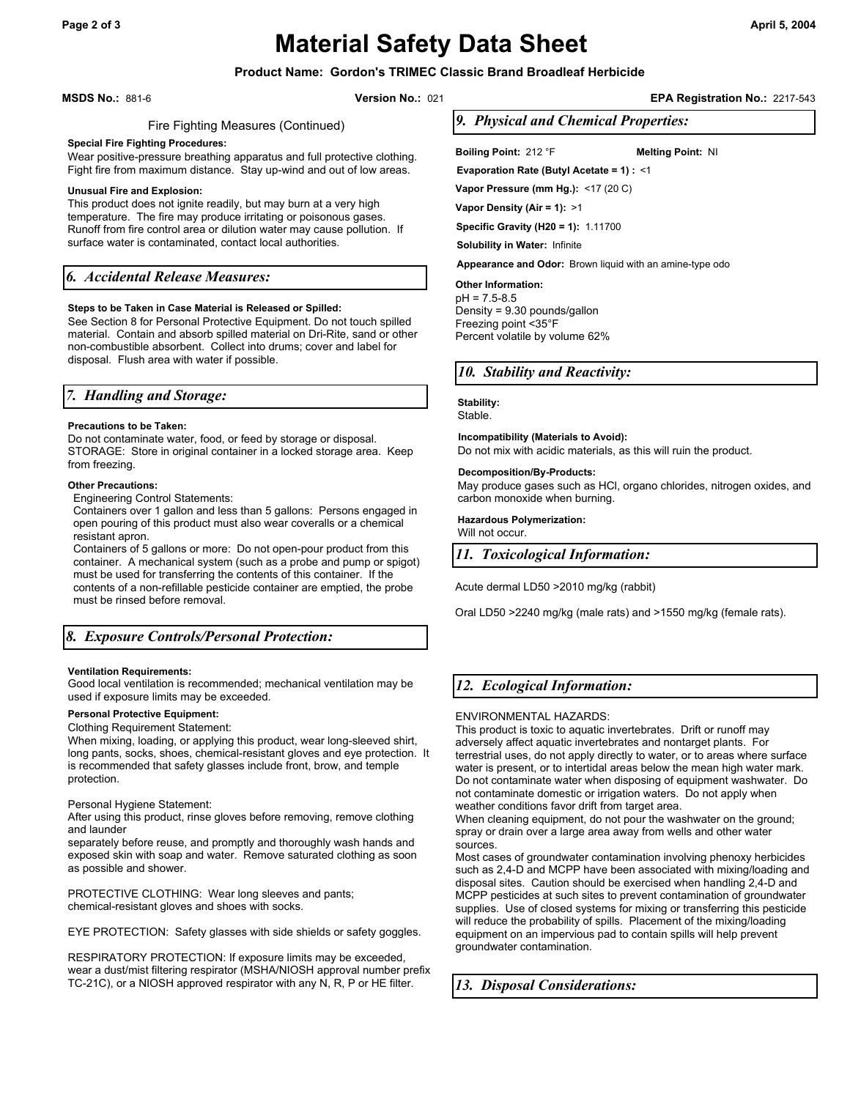# **Page 2 of 3 April 5, 2004 Material Safety Data Sheet**

# **Product Name: Gordon's TRIMEC Classic Brand Broadleaf Herbicide**

**MSDS No.:** 881-6 **Version No.:** 021 **EPA Registration No.:** 2217-543

#### Fire Fighting Measures (Continued)

#### **Special Fire Fighting Procedures:**

Wear positive-pressure breathing apparatus and full protective clothing. Fight fire from maximum distance. Stay up-wind and out of low areas.

#### **Unusual Fire and Explosion:**

This product does not ignite readily, but may burn at a very high temperature. The fire may produce irritating or poisonous gases. Runoff from fire control area or dilution water may cause pollution. If surface water is contaminated, contact local authorities.

## *6. Accidental Release Measures:*

#### **Steps to be Taken in Case Material is Released or Spilled:**

See Section 8 for Personal Protective Equipment. Do not touch spilled material. Contain and absorb spilled material on Dri-Rite, sand or other non-combustible absorbent. Collect into drums; cover and label for disposal. Flush area with water if possible.

## *7. Handling and Storage:*

#### **Precautions to be Taken:**

Do not contaminate water, food, or feed by storage or disposal. STORAGE: Store in original container in a locked storage area. Keep from freezing.

#### **Other Precautions:**

Engineering Control Statements:

Containers over 1 gallon and less than 5 gallons: Persons engaged in open pouring of this product must also wear coveralls or a chemical resistant apron.

Containers of 5 gallons or more: Do not open-pour product from this container. A mechanical system (such as a probe and pump or spigot) must be used for transferring the contents of this container. If the contents of a non-refillable pesticide container are emptied, the probe must be rinsed before removal.

# *8. Exposure Controls/Personal Protection:*

#### **Ventilation Requirements:**

Good local ventilation is recommended; mechanical ventilation may be used if exposure limits may be exceeded.

#### **Personal Protective Equipment:**

#### Clothing Requirement Statement:

When mixing, loading, or applying this product, wear long-sleeved shirt, long pants, socks, shoes, chemical-resistant gloves and eye protection. It is recommended that safety glasses include front, brow, and temple protection.

#### Personal Hygiene Statement:

After using this product, rinse gloves before removing, remove clothing and launder

separately before reuse, and promptly and thoroughly wash hands and exposed skin with soap and water. Remove saturated clothing as soon as possible and shower.

PROTECTIVE CLOTHING: Wear long sleeves and pants; chemical-resistant gloves and shoes with socks.

EYE PROTECTION: Safety glasses with side shields or safety goggles.

RESPIRATORY PROTECTION: If exposure limits may be exceeded, wear a dust/mist filtering respirator (MSHA/NIOSH approval number prefix TC-21C), or a NIOSH approved respirator with any N, R, P or HE filter. *13. Disposal Considerations:*

*9. Physical and Chemical Properties:* 

**Boiling Point:** 212 °F **Melting Point:** NI

**Evaporation Rate (Butyl Acetate = 1) :** <1

**Vapor Pressure (mm Hg.):** <17 (20 C)

**Vapor Density (Air = 1):** >1

**Specific Gravity (H20 = 1):** 1.11700

**Solubility in Water:** Infinite

**Appearance and Odor:** Brown liquid with an amine-type odo

#### **Other Information:**

 $nH = 7.5-8.5$ Density = 9.30 pounds/gallon Freezing point <35°F Percent volatile by volume 62%

## *10. Stability and Reactivity:*

**Stability:**  Stable.

**Incompatibility (Materials to Avoid):** 

Do not mix with acidic materials, as this will ruin the product.

#### **Decomposition/By-Products:**

May produce gases such as HCl, organo chlorides, nitrogen oxides, and carbon monoxide when burning.

#### **Hazardous Polymerization:**

Will not occur.

*11. Toxicological Information:* 

Acute dermal LD50 >2010 mg/kg (rabbit)

Oral LD50 >2240 mg/kg (male rats) and >1550 mg/kg (female rats).

# *12. Ecological Information:*

ENVIRONMENTAL HAZARDS:

This product is toxic to aquatic invertebrates. Drift or runoff may adversely affect aquatic invertebrates and nontarget plants. For terrestrial uses, do not apply directly to water, or to areas where surface water is present, or to intertidal areas below the mean high water mark. Do not contaminate water when disposing of equipment washwater. Do not contaminate domestic or irrigation waters. Do not apply when weather conditions favor drift from target area.

When cleaning equipment, do not pour the washwater on the ground; spray or drain over a large area away from wells and other water sources.

Most cases of groundwater contamination involving phenoxy herbicides such as 2,4-D and MCPP have been associated with mixing/loading and disposal sites. Caution should be exercised when handling 2,4-D and MCPP pesticides at such sites to prevent contamination of groundwater supplies. Use of closed systems for mixing or transferring this pesticide will reduce the probability of spills. Placement of the mixing/loading equipment on an impervious pad to contain spills will help prevent groundwater contamination.